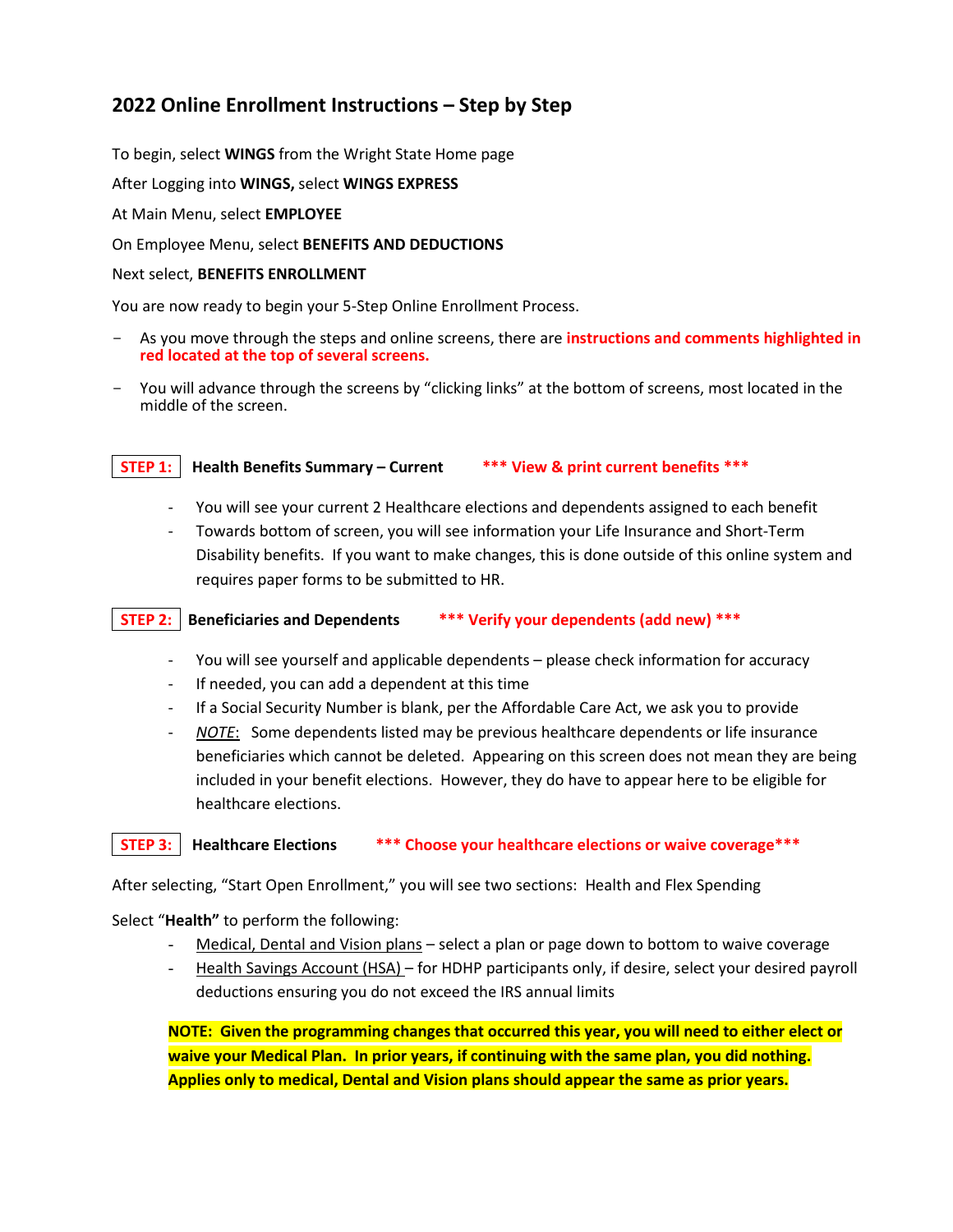# **2022 Online Enrollment Instructions – Step by Step**

To begin, select **WINGS** from the Wright State Home page

After Logging into **WINGS,** select **WINGS EXPRESS**

At Main Menu, select **EMPLOYEE**

On Employee Menu, select **BENEFITS AND DEDUCTIONS**

#### Next select, **BENEFITS ENROLLMENT**

You are now ready to begin your 5-Step Online Enrollment Process.

- As you move through the steps and online screens, there are **instructions and comments highlighted in red located at the top of several screens.**
- You will advance through the screens by "clicking links" at the bottom of screens, most located in the middle of the screen.

#### **STEP 1: Health Benefits Summary – Current \*\*\* View & print current benefits \*\*\***

- You will see your current 2 Healthcare elections and dependents assigned to each benefit
- Towards bottom of screen, you will see information your Life Insurance and Short-Term Disability benefits. If you want to make changes, this is done outside of this online system and requires paper forms to be submitted to HR.

## **STEP 2: Beneficiaries and Dependents \*\*\* Verify your dependents (add new) \*\*\***

- You will see yourself and applicable dependents please check information for accuracy
- If needed, you can add a dependent at this time
- If a Social Security Number is blank, per the Affordable Care Act, we ask you to provide
- *NOTE*: Some dependents listed may be previous healthcare dependents or life insurance beneficiaries which cannot be deleted. Appearing on this screen does not mean they are being included in your benefit elections. However, they do have to appear here to be eligible for healthcare elections.

#### **STEP 3: Healthcare Elections \*\*\* Choose your healthcare elections or waive coverage\*\*\***

After selecting, "Start Open Enrollment," you will see two sections: Health and Flex Spending

Select "**Health"** to perform the following:

- Medical, Dental and Vision plans select a plan or page down to bottom to waive coverage
- Health Savings Account (HSA) for HDHP participants only, if desire, select your desired payroll deductions ensuring you do not exceed the IRS annual limits

**NOTE: Given the programming changes that occurred this year, you will need to either elect or waive your Medical Plan. In prior years, if continuing with the same plan, you did nothing. Applies only to medical, Dental and Vision plans should appear the same as prior years.**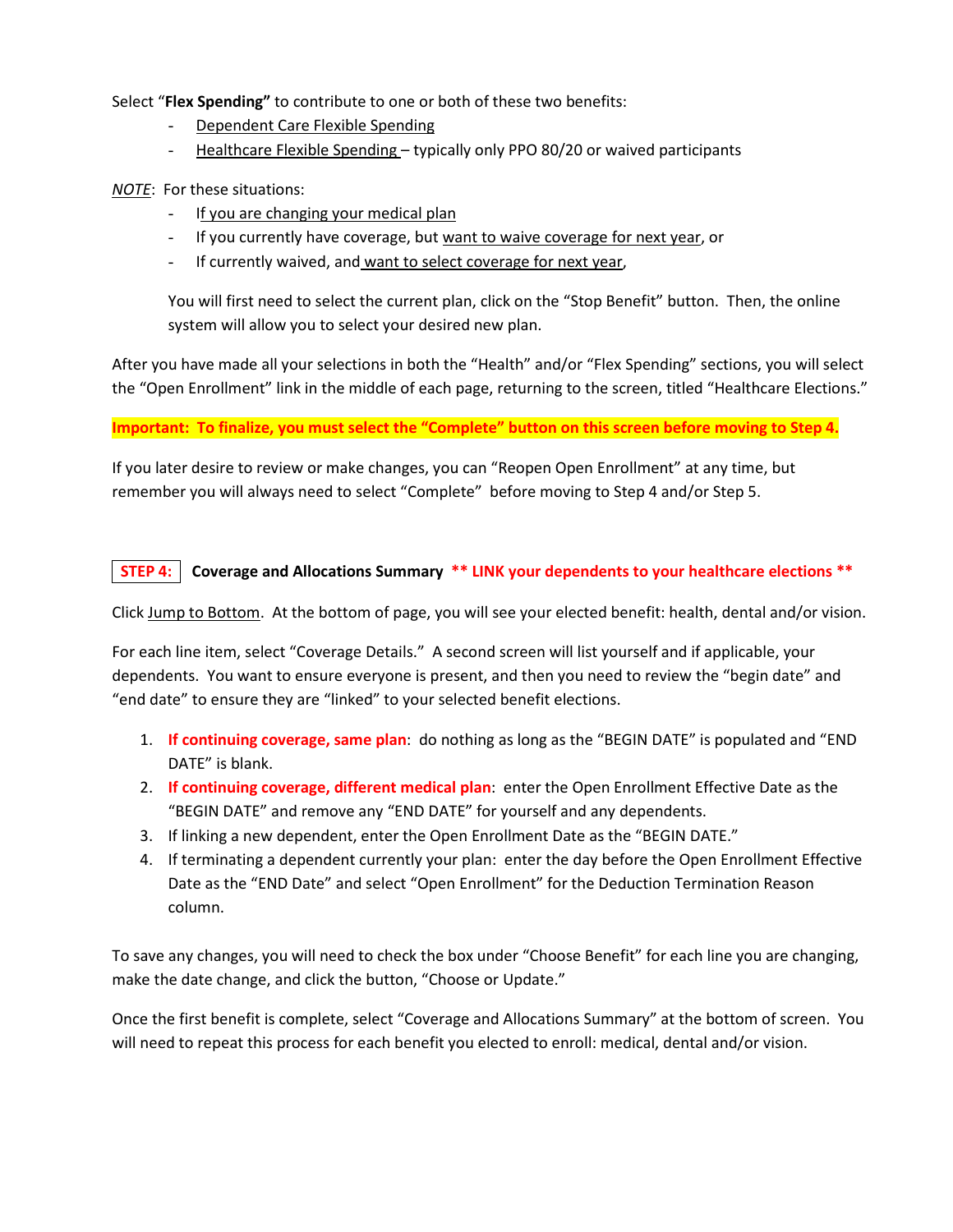Select "**Flex Spending"** to contribute to one or both of these two benefits:

- Dependent Care Flexible Spending
- Healthcare Flexible Spending typically only PPO 80/20 or waived participants

*NOTE*: For these situations:

- If you are changing your medical plan
- If you currently have coverage, but want to waive coverage for next year, or
- If currently waived, and want to select coverage for next year,

You will first need to select the current plan, click on the "Stop Benefit" button. Then, the online system will allow you to select your desired new plan.

After you have made all your selections in both the "Health" and/or "Flex Spending" sections, you will select the "Open Enrollment" link in the middle of each page, returning to the screen, titled "Healthcare Elections."

## **Important: To finalize, you must select the "Complete" button on this screen before moving to Step 4.**

If you later desire to review or make changes, you can "Reopen Open Enrollment" at any time, but remember you will always need to select "Complete" before moving to Step 4 and/or Step 5.

## **STEP 4: Coverage and Allocations Summary \*\* LINK your dependents to your healthcare elections \*\***

Click Jump to Bottom. At the bottom of page, you will see your elected benefit: health, dental and/or vision.

For each line item, select "Coverage Details." A second screen will list yourself and if applicable, your dependents. You want to ensure everyone is present, and then you need to review the "begin date" and "end date" to ensure they are "linked" to your selected benefit elections.

- 1. **If continuing coverage, same plan**: do nothing as long as the "BEGIN DATE" is populated and "END DATE" is blank.
- 2. **If continuing coverage, different medical plan**: enter the Open Enrollment Effective Date as the "BEGIN DATE" and remove any "END DATE" for yourself and any dependents.
- 3. If linking a new dependent, enter the Open Enrollment Date as the "BEGIN DATE."
- 4. If terminating a dependent currently your plan: enter the day before the Open Enrollment Effective Date as the "END Date" and select "Open Enrollment" for the Deduction Termination Reason column.

To save any changes, you will need to check the box under "Choose Benefit" for each line you are changing, make the date change, and click the button, "Choose or Update."

Once the first benefit is complete, select "Coverage and Allocations Summary" at the bottom of screen. You will need to repeat this process for each benefit you elected to enroll: medical, dental and/or vision.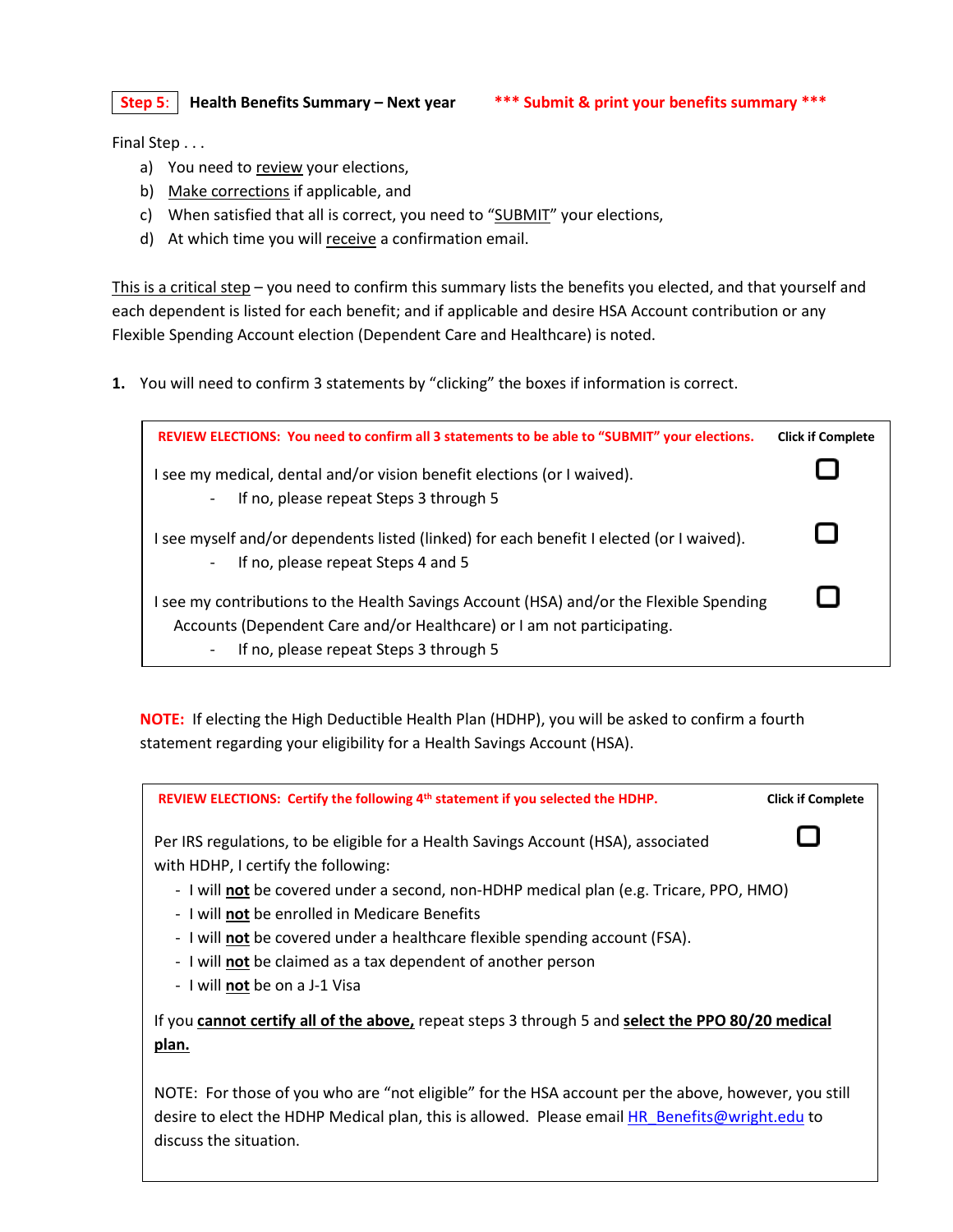**Step 5**: **Health Benefits Summary – Next year \*\*\* Submit & print your benefits summary \*\*\***

Final Step . . .

- a) You need to review your elections,
- b) Make corrections if applicable, and
- c) When satisfied that all is correct, you need to "SUBMIT" your elections,
- d) At which time you will receive a confirmation email.

This is a critical step – you need to confirm this summary lists the benefits you elected, and that yourself and each dependent is listed for each benefit; and if applicable and desire HSA Account contribution or any Flexible Spending Account election (Dependent Care and Healthcare) is noted.

**1.** You will need to confirm 3 statements by "clicking" the boxes if information is correct.

| REVIEW ELECTIONS: You need to confirm all 3 statements to be able to "SUBMIT" your elections.                                                                                                                    | <b>Click if Complete</b> |
|------------------------------------------------------------------------------------------------------------------------------------------------------------------------------------------------------------------|--------------------------|
| see my medical, dental and/or vision benefit elections (or I waived).<br>If no, please repeat Steps 3 through 5<br>$\overline{\phantom{a}}$                                                                      |                          |
| see myself and/or dependents listed (linked) for each benefit I elected (or I waived).<br>If no, please repeat Steps 4 and 5<br>-                                                                                |                          |
| I see my contributions to the Health Savings Account (HSA) and/or the Flexible Spending<br>Accounts (Dependent Care and/or Healthcare) or I am not participating.<br>If no, please repeat Steps 3 through 5<br>- |                          |

**NOTE:** If electing the High Deductible Health Plan (HDHP), you will be asked to confirm a fourth statement regarding your eligibility for a Health Savings Account (HSA).